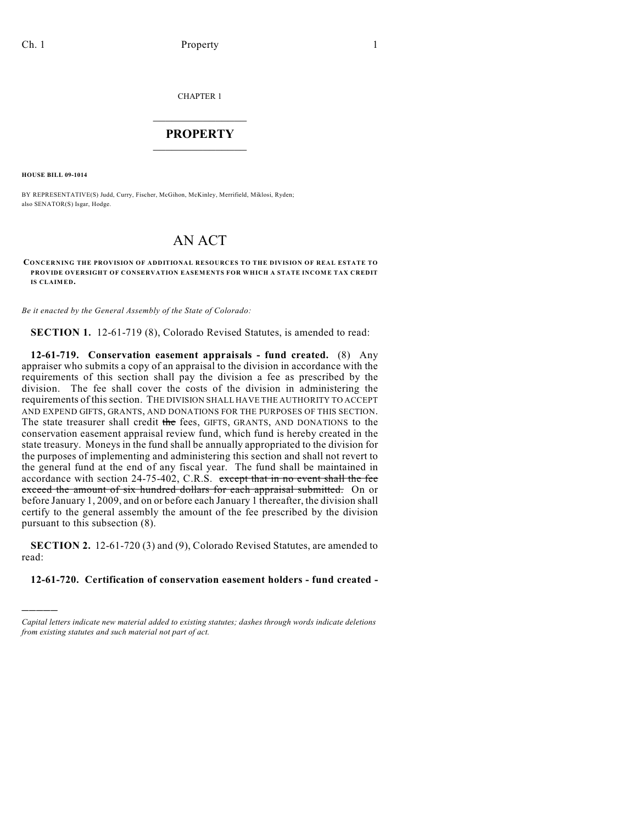CHAPTER 1

# $\overline{\phantom{a}}$  . The set of the set of the set of the set of the set of the set of the set of the set of the set of the set of the set of the set of the set of the set of the set of the set of the set of the set of the set o **PROPERTY**  $\_$   $\_$   $\_$   $\_$   $\_$   $\_$   $\_$   $\_$   $\_$

**HOUSE BILL 09-1014**

)))))

BY REPRESENTATIVE(S) Judd, Curry, Fischer, McGihon, McKinley, Merrifield, Miklosi, Ryden; also SENATOR(S) Isgar, Hodge.

# AN ACT

**CONCERNING THE PROVISION OF ADDITIONAL RESOURCES TO THE DIVISION OF REAL ESTATE TO PROVIDE OVERSIGHT OF CONSERVATION EASEMENTS FOR WHICH A STATE INCOME TAX CREDIT IS CLAIMED.**

*Be it enacted by the General Assembly of the State of Colorado:*

**SECTION 1.** 12-61-719 (8), Colorado Revised Statutes, is amended to read:

**12-61-719. Conservation easement appraisals - fund created.** (8) Any appraiser who submits a copy of an appraisal to the division in accordance with the requirements of this section shall pay the division a fee as prescribed by the division. The fee shall cover the costs of the division in administering the requirements of this section. THE DIVISION SHALL HAVE THE AUTHORITY TO ACCEPT AND EXPEND GIFTS, GRANTS, AND DONATIONS FOR THE PURPOSES OF THIS SECTION. The state treasurer shall credit the fees, GIFTS, GRANTS, AND DONATIONS to the conservation easement appraisal review fund, which fund is hereby created in the state treasury. Moneys in the fund shall be annually appropriated to the division for the purposes of implementing and administering this section and shall not revert to the general fund at the end of any fiscal year. The fund shall be maintained in accordance with section 24-75-402, C.R.S. except that in no event shall the fee exceed the amount of six hundred dollars for each appraisal submitted. On or before January 1, 2009, and on or before each January 1 thereafter, the division shall certify to the general assembly the amount of the fee prescribed by the division pursuant to this subsection (8).

**SECTION 2.** 12-61-720 (3) and (9), Colorado Revised Statutes, are amended to read:

## **12-61-720. Certification of conservation easement holders - fund created -**

*Capital letters indicate new material added to existing statutes; dashes through words indicate deletions from existing statutes and such material not part of act.*